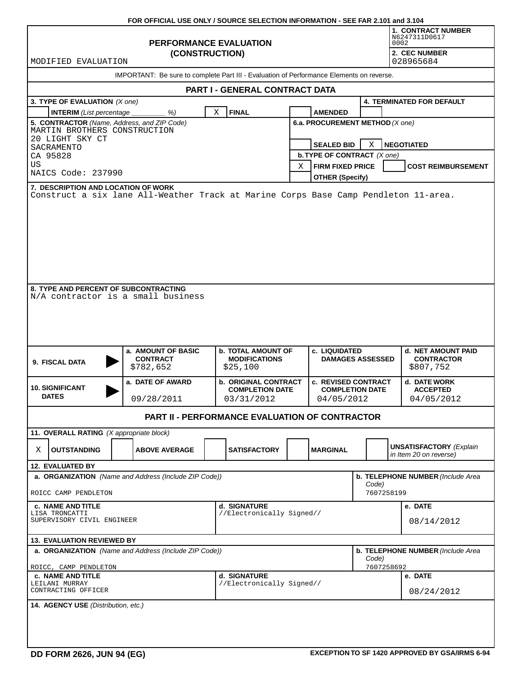|                                                                                               | FOR OFFICIAL USE ONLY / SOURCE SELECTION INFORMATION - SEE FAR 2.101 and 3.104 |                                                               |                                                          |                                          |                                  |                                                          |  |  |  |  |  |
|-----------------------------------------------------------------------------------------------|--------------------------------------------------------------------------------|---------------------------------------------------------------|----------------------------------------------------------|------------------------------------------|----------------------------------|----------------------------------------------------------|--|--|--|--|--|
|                                                                                               |                                                                                | <b>1. CONTRACT NUMBER</b><br>N6247311D0617<br>0002            |                                                          |                                          |                                  |                                                          |  |  |  |  |  |
| MODIFIED EVALUATION                                                                           | (CONSTRUCTION)                                                                 |                                                               |                                                          | 2. CEC NUMBER<br>028965684               |                                  |                                                          |  |  |  |  |  |
| IMPORTANT: Be sure to complete Part III - Evaluation of Performance Elements on reverse.      |                                                                                |                                                               |                                                          |                                          |                                  |                                                          |  |  |  |  |  |
| PART I - GENERAL CONTRACT DATA                                                                |                                                                                |                                                               |                                                          |                                          |                                  |                                                          |  |  |  |  |  |
| 3. TYPE OF EVALUATION (X one)                                                                 |                                                                                |                                                               |                                                          |                                          | <b>4. TERMINATED FOR DEFAULT</b> |                                                          |  |  |  |  |  |
| <b>INTERIM</b> (List percentage                                                               | %)                                                                             | X<br><b>FINAL</b>                                             |                                                          | <b>AMENDED</b>                           |                                  |                                                          |  |  |  |  |  |
| 5. CONTRACTOR (Name, Address, and ZIP Code)<br>MARTIN BROTHERS CONSTRUCTION                   |                                                                                |                                                               | 6.a. PROCUREMENT METHOD (X one)                          |                                          |                                  |                                                          |  |  |  |  |  |
| 20 LIGHT SKY CT<br>SACRAMENTO                                                                 |                                                                                | <b>SEALED BID</b><br>X<br><b>NEGOTIATED</b>                   |                                                          |                                          |                                  |                                                          |  |  |  |  |  |
| CA 95828                                                                                      |                                                                                |                                                               |                                                          | <b>b. TYPE OF CONTRACT</b> (X one)       |                                  |                                                          |  |  |  |  |  |
| US<br>NAICS Code: 237990                                                                      |                                                                                |                                                               | Χ                                                        | <b>FIRM FIXED PRICE</b>                  |                                  | <b>COST REIMBURSEMENT</b>                                |  |  |  |  |  |
| 7. DESCRIPTION AND LOCATION OF WORK                                                           |                                                                                |                                                               | <b>OTHER (Specify)</b>                                   |                                          |                                  |                                                          |  |  |  |  |  |
| Construct a six lane All-Weather Track at Marine Corps Base Camp Pendleton 11-area.           |                                                                                |                                                               |                                                          |                                          |                                  |                                                          |  |  |  |  |  |
| 8. TYPE AND PERCENT OF SUBCONTRACTING<br>N/A contractor is a small business<br>9. FISCAL DATA | a. AMOUNT OF BASIC<br><b>CONTRACT</b><br>\$782,652                             | <b>b. TOTAL AMOUNT OF</b><br><b>MODIFICATIONS</b><br>\$25,100 |                                                          | c. LIQUIDATED<br><b>DAMAGES ASSESSED</b> |                                  | d. NET AMOUNT PAID<br><b>CONTRACTOR</b><br>\$807,752     |  |  |  |  |  |
|                                                                                               |                                                                                | <b>b. ORIGINAL CONTRACT</b>                                   |                                                          | <b>c. REVISED CONTRACT</b>               |                                  | d. DATE WORK                                             |  |  |  |  |  |
| <b>10. SIGNIFICANT</b><br><b>DATES</b>                                                        | a. DATE OF AWARD<br>09/28/2011                                                 |                                                               |                                                          | <b>COMPLETION DATE</b><br>04/05/2012     |                                  | <b>ACCEPTED</b><br>04/05/2012                            |  |  |  |  |  |
|                                                                                               |                                                                                | <b>PART II - PERFORMANCE EVALUATION OF CONTRACTOR</b>         |                                                          |                                          |                                  |                                                          |  |  |  |  |  |
| 11. OVERALL RATING (X appropriate block)                                                      |                                                                                |                                                               |                                                          |                                          |                                  |                                                          |  |  |  |  |  |
| <b>OUTSTANDING</b><br>X                                                                       | <b>ABOVE AVERAGE</b>                                                           | <b>SATISFACTORY</b>                                           |                                                          | <b>MARGINAL</b>                          |                                  | <b>UNSATISFACTORY</b> (Explain<br>in Item 20 on reverse) |  |  |  |  |  |
| 12. EVALUATED BY                                                                              |                                                                                |                                                               |                                                          |                                          |                                  |                                                          |  |  |  |  |  |
| a. ORGANIZATION (Name and Address (Include ZIP Code))<br>ROICC CAMP PENDLETON                 |                                                                                |                                                               | b. TELEPHONE NUMBER (Include Area<br>Code)<br>7607258199 |                                          |                                  |                                                          |  |  |  |  |  |
| <b>c. NAME AND TITLE</b>                                                                      |                                                                                | d. SIGNATURE                                                  |                                                          |                                          |                                  | e. DATE                                                  |  |  |  |  |  |
| LISA TRONCATTI<br>SUPERVISORY CIVIL ENGINEER                                                  |                                                                                | //Electronically Signed//                                     |                                                          |                                          |                                  | 08/14/2012                                               |  |  |  |  |  |
| <b>13. EVALUATION REVIEWED BY</b>                                                             |                                                                                |                                                               |                                                          |                                          |                                  |                                                          |  |  |  |  |  |
| a. ORGANIZATION (Name and Address (Include ZIP Code))                                         |                                                                                | b. TELEPHONE NUMBER (Include Area<br>Code)                    |                                                          |                                          |                                  |                                                          |  |  |  |  |  |
| ROICC, CAMP PENDLETON                                                                         |                                                                                |                                                               |                                                          | 7607258692                               |                                  |                                                          |  |  |  |  |  |
| <b>c. NAME AND TITLE</b><br>LEILANI MURRAY<br>CONTRACTING OFFICER                             | d. SIGNATURE<br>//Electronically Signed//                                      |                                                               |                                                          |                                          | e. DATE<br>08/24/2012            |                                                          |  |  |  |  |  |
| 14. AGENCY USE (Distribution, etc.)                                                           |                                                                                |                                                               |                                                          |                                          |                                  |                                                          |  |  |  |  |  |
|                                                                                               |                                                                                |                                                               |                                                          |                                          |                                  |                                                          |  |  |  |  |  |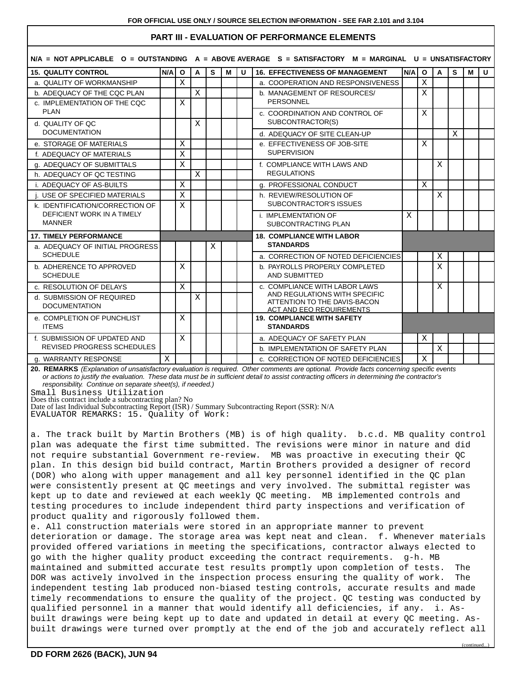# **PART III - EVALUATION OF PERFORMANCE ELEMENTS**

|                                                            |       |                                                    |              | $N/A$ = NOT APPLICABLE 0 = OUTSTANDING A = ABOVE AVERAGE S = SATISFACTORY M = MARGINAL U = UNSATISFACTORY |   |   |                                                                |     |              |   |   |   |              |
|------------------------------------------------------------|-------|----------------------------------------------------|--------------|-----------------------------------------------------------------------------------------------------------|---|---|----------------------------------------------------------------|-----|--------------|---|---|---|--------------|
| <b>15. QUALITY CONTROL</b>                                 | N/A I | $\mathbf{o}$                                       | A            | S                                                                                                         | M | U | <b>16. EFFECTIVENESS OF MANAGEMENT</b>                         | N/A | $\mathbf{o}$ | A | S | М | $\mathbf{U}$ |
| a. QUALITY OF WORKMANSHIP                                  |       | X                                                  |              |                                                                                                           |   |   | a. COOPERATION AND RESPONSIVENESS                              |     | X            |   |   |   |              |
| b. ADEQUACY OF THE CQC PLAN                                |       |                                                    | $\mathbf X$  |                                                                                                           |   |   | b. MANAGEMENT OF RESOURCES/<br><b>PERSONNEL</b>                |     | X            |   |   |   |              |
| c. IMPLEMENTATION OF THE CQC<br><b>PLAN</b>                |       | X                                                  |              |                                                                                                           |   |   |                                                                |     |              |   |   |   |              |
|                                                            |       |                                                    |              |                                                                                                           |   |   | c. COORDINATION AND CONTROL OF                                 |     | X            |   |   |   |              |
| d. QUALITY OF QC<br><b>DOCUMENTATION</b>                   |       |                                                    | X            |                                                                                                           |   |   | SUBCONTRACTOR(S)                                               |     |              |   |   |   |              |
|                                                            |       |                                                    |              |                                                                                                           |   |   | d. ADEQUACY OF SITE CLEAN-UP                                   |     |              |   | X |   |              |
| e. STORAGE OF MATERIALS                                    |       | X                                                  |              |                                                                                                           |   |   | e. EFFECTIVENESS OF JOB-SITE                                   |     | X            |   |   |   |              |
| f. ADEQUACY OF MATERIALS                                   |       | X                                                  |              |                                                                                                           |   |   | <b>SUPERVISION</b>                                             |     |              |   |   |   |              |
| g. ADEQUACY OF SUBMITTALS                                  |       | $\mathbf X$                                        |              |                                                                                                           |   |   | f. COMPLIANCE WITH LAWS AND                                    |     |              | X |   |   |              |
| h. ADEQUACY OF QC TESTING                                  |       |                                                    | $\mathbf{X}$ |                                                                                                           |   |   | <b>REGULATIONS</b>                                             |     |              |   |   |   |              |
| <b>i. ADEQUACY OF AS-BUILTS</b>                            |       | X                                                  |              |                                                                                                           |   |   | g. PROFESSIONAL CONDUCT                                        |     | X            |   |   |   |              |
| USE OF SPECIFIED MATERIALS                                 |       | X                                                  |              |                                                                                                           |   |   | h. REVIEW/RESOLUTION OF<br>SUBCONTRACTOR'S ISSUES              |     |              | X |   |   |              |
| k. IDENTIFICATION/CORRECTION OF                            |       | X                                                  |              |                                                                                                           |   |   |                                                                |     |              |   |   |   |              |
| DEFICIENT WORK IN A TIMELY<br><b>MANNER</b>                |       | i. IMPLEMENTATION OF<br><b>SUBCONTRACTING PLAN</b> |              |                                                                                                           | X |   |                                                                |     |              |   |   |   |              |
|                                                            |       |                                                    |              |                                                                                                           |   |   |                                                                |     |              |   |   |   |              |
| <b>17. TIMELY PERFORMANCE</b>                              |       |                                                    |              |                                                                                                           |   |   | <b>18. COMPLIANCE WITH LABOR</b>                               |     |              |   |   |   |              |
| a. ADEQUACY OF INITIAL PROGRESS<br><b>SCHEDULE</b>         |       |                                                    |              | Χ                                                                                                         |   |   | <b>STANDARDS</b>                                               |     |              |   |   |   |              |
|                                                            |       |                                                    |              |                                                                                                           |   |   | a. CORRECTION OF NOTED DEFICIENCIES                            |     |              | Χ |   |   |              |
| b. ADHERENCE TO APPROVED<br><b>SCHEDULE</b>                |       | X                                                  |              |                                                                                                           |   |   | b. PAYROLLS PROPERLY COMPLETED                                 |     |              | X |   |   |              |
|                                                            |       |                                                    |              |                                                                                                           |   |   | <b>AND SUBMITTED</b>                                           |     |              |   |   |   |              |
| c. RESOLUTION OF DELAYS                                    |       | $\mathbf{X}$                                       |              |                                                                                                           |   |   | c. COMPLIANCE WITH LABOR LAWS<br>AND REGULATIONS WITH SPECIFIC |     |              | Χ |   |   |              |
| d. SUBMISSION OF REQUIRED                                  |       |                                                    | X            |                                                                                                           |   |   | ATTENTION TO THE DAVIS-BACON                                   |     |              |   |   |   |              |
| <b>DOCUMENTATION</b>                                       |       |                                                    |              |                                                                                                           |   |   | <b>ACT AND EEO REQUIREMENTS</b>                                |     |              |   |   |   |              |
| e. COMPLETION OF PUNCHLIST<br><b>ITEMS</b>                 |       | X                                                  |              |                                                                                                           |   |   | <b>19. COMPLIANCE WITH SAFETY</b><br><b>STANDARDS</b>          |     |              |   |   |   |              |
| f. SUBMISSION OF UPDATED AND<br>REVISED PROGRESS SCHEDULES |       | X                                                  |              |                                                                                                           |   |   | a. ADEQUACY OF SAFETY PLAN                                     |     | X            |   |   |   |              |
|                                                            |       |                                                    |              |                                                                                                           |   |   | b. IMPLEMENTATION OF SAFETY PLAN                               |     |              | X |   |   |              |
| g. WARRANTY RESPONSE                                       |       |                                                    |              |                                                                                                           |   |   | c. CORRECTION OF NOTED DEFICIENCIES                            |     | X            |   |   |   |              |

**20. REMARKS** (Explanation of unsatisfactory evaluation is required. Other comments are optional. Provide facts concerning specific events or actions to justify the evaluation. These data must be in sufficient detail to assist contracting officers in determining the contractor's responsibility. Continue on separate sheet(s), if needed.)

Small Business Utilization

Does this contract include a subcontracting plan? No Date of last Individual Subcontracting Report (ISR) / Summary Subcontracting Report (SSR): N/A

EVALUATOR REMARKS: 15. Quality of Work:

a. The track built by Martin Brothers (MB) is of high quality. b.c.d. MB quality control plan was adequate the first time submitted. The revisions were minor in nature and did not require substantial Government re-review. MB was proactive in executing their QC plan. In this design bid build contract, Martin Brothers provided a designer of record (DOR) who along with upper management and all key personnel identified in the QC plan were consistently present at QC meetings and very involved. The submittal register was kept up to date and reviewed at each weekly QC meeting. MB implemented controls and testing procedures to include independent third party inspections and verification of product quality and rigorously followed them.

e. All construction materials were stored in an appropriate manner to prevent deterioration or damage. The storage area was kept neat and clean. f. Whenever materials provided offered variations in meeting the specifications, contractor always elected to go with the higher quality product exceeding the contract requirements. g-h. MB maintained and submitted accurate test results promptly upon completion of tests. The DOR was actively involved in the inspection process ensuring the quality of work. The independent testing lab produced non-biased testing controls, accurate results and made timely recommendations to ensure the quality of the project. QC testing was conducted by qualified personnel in a manner that would identify all deficiencies, if any. i. Asbuilt drawings were being kept up to date and updated in detail at every QC meeting. Asbuilt drawings were turned over promptly at the end of the job and accurately reflect all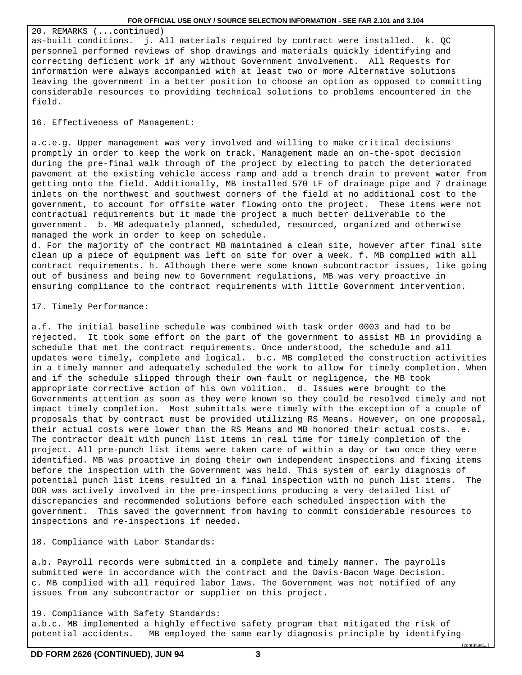#### **FOR OFFICIAL USE ONLY / SOURCE SELECTION INFORMATION - SEE FAR 2.101 and 3.104**

20. REMARKS (...continued) as-built conditions. j. All materials required by contract were installed. k. QC personnel performed reviews of shop drawings and materials quickly identifying and correcting deficient work if any without Government involvement. All Requests for information were always accompanied with at least two or more Alternative solutions leaving the government in a better position to choose an option as opposed to committing considerable resources to providing technical solutions to problems encountered in the field.

## 16. Effectiveness of Management:

a.c.e.g. Upper management was very involved and willing to make critical decisions promptly in order to keep the work on track. Management made an on-the-spot decision during the pre-final walk through of the project by electing to patch the deteriorated pavement at the existing vehicle access ramp and add a trench drain to prevent water from getting onto the field. Additionally, MB installed 570 LF of drainage pipe and 7 drainage inlets on the northwest and southwest corners of the field at no additional cost to the government, to account for offsite water flowing onto the project. These items were not contractual requirements but it made the project a much better deliverable to the government. b. MB adequately planned, scheduled, resourced, organized and otherwise managed the work in order to keep on schedule.

d. For the majority of the contract MB maintained a clean site, however after final site clean up a piece of equipment was left on site for over a week. f. MB complied with all contract requirements. h. Although there were some known subcontractor issues, like going out of business and being new to Government regulations, MB was very proactive in ensuring compliance to the contract requirements with little Government intervention.

#### 17. Timely Performance:

a.f. The initial baseline schedule was combined with task order 0003 and had to be rejected. It took some effort on the part of the government to assist MB in providing a schedule that met the contract requirements. Once understood, the schedule and all updates were timely, complete and logical. b.c. MB completed the construction activities in a timely manner and adequately scheduled the work to allow for timely completion. When and if the schedule slipped through their own fault or negligence, the MB took appropriate corrective action of his own volition. d. Issues were brought to the Governments attention as soon as they were known so they could be resolved timely and not impact timely completion. Most submittals were timely with the exception of a couple of proposals that by contract must be provided utilizing RS Means. However, on one proposal, their actual costs were lower than the RS Means and MB honored their actual costs. e. The contractor dealt with punch list items in real time for timely completion of the project. All pre-punch list items were taken care of within a day or two once they were identified. MB was proactive in doing their own independent inspections and fixing items before the inspection with the Government was held. This system of early diagnosis of potential punch list items resulted in a final inspection with no punch list items. The DOR was actively involved in the pre-inspections producing a very detailed list of discrepancies and recommended solutions before each scheduled inspection with the government. This saved the government from having to commit considerable resources to inspections and re-inspections if needed.

18. Compliance with Labor Standards:

a.b. Payroll records were submitted in a complete and timely manner. The payrolls submitted were in accordance with the contract and the Davis-Bacon Wage Decision. c. MB complied with all required labor laws. The Government was not notified of any issues from any subcontractor or supplier on this project.

19. Compliance with Safety Standards: a.b.c. MB implemented a highly effective safety program that mitigated the risk of potential accidents. MB employed the same early diagnosis principle by identifying

(continued...)